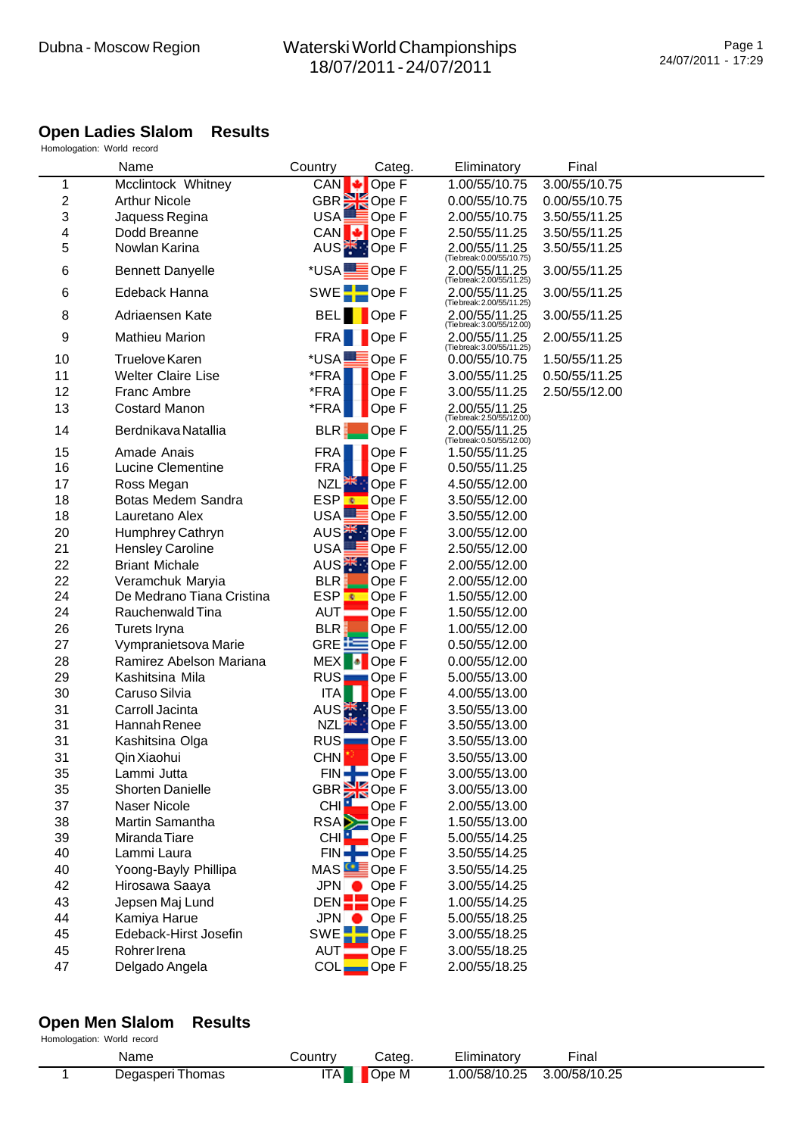#### **Open Ladies Slalom Results**

Homologation: World record

|    | Name                      | Country                | Categ                             | Eliminatory                                                               | Final         |  |
|----|---------------------------|------------------------|-----------------------------------|---------------------------------------------------------------------------|---------------|--|
| 1  | Mcclintock Whitney        | CAN                    | Ope F                             | 1.00/55/10.75                                                             | 3.00/55/10.75 |  |
| 2  | <b>Arthur Nicole</b>      |                        | GBR <sup>36</sup> Ope F           | 0.00/55/10.75                                                             | 0.00/55/10.75 |  |
| 3  | Jaquess Regina            | USA!                   | Ope F                             | 2.00/55/10.75                                                             | 3.50/55/11.25 |  |
| 4  | Dodd Breanne              |                        | CAN <b>↓</b> Ope F                | 2.50/55/11.25                                                             | 3.50/55/11.25 |  |
| 5  | Nowlan Karina             |                        | AUS <sup><sup>*</sup> Ope F</sup> | 2.00/55/11.25                                                             | 3.50/55/11.25 |  |
| 6  | <b>Bennett Danyelle</b>   | *USA <b>LE</b> Ope F   |                                   | (Tie break: 0.00/55/10.75)<br>2.00/55/11.25<br>(Tie break: 2.00/55/11.25) | 3.00/55/11.25 |  |
| 6  | Edeback Hanna             | SWE <sup>-</sup> Ope F |                                   | 2.00/55/11.25<br>(Tie break: 2.00/55/11.25)                               | 3.00/55/11.25 |  |
| 8  | Adriaensen Kate           |                        | BEL Ope F                         | 2.00/55/11.25<br>(Tie break: 3.00/55/12.00)                               | 3.00/55/11.25 |  |
| 9  | <b>Mathieu Marion</b>     | FRA                    | Ope F                             | 2.00/55/11.25<br>(Tie break: 3.00/55/11.25)                               | 2.00/55/11.25 |  |
| 10 | <b>Truelove Karen</b>     | *USAL                  | $\equiv$ Ope F                    | 0.00/55/10.75                                                             | 1.50/55/11.25 |  |
| 11 | <b>Welter Claire Lise</b> | *FRA                   | Ope F                             | 3.00/55/11.25                                                             | 0.50/55/11.25 |  |
| 12 | <b>Franc Ambre</b>        | *FRA                   | Ope F                             | 3.00/55/11.25                                                             | 2.50/55/12.00 |  |
| 13 | <b>Costard Manon</b>      | *FRA                   | Ope F                             | 2.00/55/11.25<br>(Tie break: 2.50/55/12.00)                               |               |  |
| 14 | Berdnikava Natallia       | BLR                    | Ope F                             | 2.00/55/11.25<br>(Tie break: 0.50/55/12.00)                               |               |  |
| 15 | Amade Anais               | <b>FRA</b>             | Ope F                             | 1.50/55/11.25                                                             |               |  |
| 16 | <b>Lucine Clementine</b>  | <b>FRA</b>             | Ope F                             | 0.50/55/11.25                                                             |               |  |
| 17 | Ross Megan                | NZL <sup>25</sup>      | <b>D</b> Ope F                    | 4.50/55/12.00                                                             |               |  |
| 18 | Botas Medem Sandra        | ESP <mark>€</mark>     | Ope F                             | 3.50/55/12.00                                                             |               |  |
| 18 | Lauretano Alex            | USA!                   | <mark>≣</mark> Ope F              | 3.50/55/12.00                                                             |               |  |
| 20 | Humphrey Cathryn          |                        | AUS <sup>*</sup> : Ope F          | 3.00/55/12.00                                                             |               |  |
| 21 | <b>Hensley Caroline</b>   | USA!                   | Ope F                             | 2.50/55/12.00                                                             |               |  |
| 22 | <b>Briant Michale</b>     |                        | AUS <sup>*</sup> : Ope F          | 2.00/55/12.00                                                             |               |  |
| 22 | Veramchuk Maryia          | BLR:                   | Ope F                             | 2.00/55/12.00                                                             |               |  |
| 24 | De Medrano Tiana Cristina | ESP <mark>≉</mark>     | Ope F                             | 1.50/55/12.00                                                             |               |  |
| 24 | Rauchenwald Tina          | AUT                    | Ope F                             | 1.50/55/12.00                                                             |               |  |
| 26 | Turets Iryna              | <b>BLR</b>             | Ope F                             | 1.00/55/12.00                                                             |               |  |
| 27 | Vympranietsova Marie      |                        | GRE EQpe F                        | 0.50/55/12.00                                                             |               |  |
| 28 | Ramirez Abelson Mariana   | <b>MEX</b>             | Ope F                             | 0.00/55/12.00                                                             |               |  |
| 29 | Kashitsina Mila           | RUS <sub>I</sub>       | Ope F                             | 5.00/55/13.00                                                             |               |  |
| 30 | Caruso Silvia             | ITA                    | Ope F                             | 4.00/55/13.00                                                             |               |  |
| 31 | Carroll Jacinta           |                        | AUS <sup><sup>*</sup> Ope F</sup> | 3.50/55/13.00                                                             |               |  |
| 31 | Hannah Renee              | <b>NZL</b>             | Ope F                             | 3.50/55/13.00                                                             |               |  |
| 31 | Kashitsina Olga           | <b>RUS</b>             | Ope F                             | 3.50/55/13.00                                                             |               |  |
| 31 | Qin Xiaohui               | <b>CHN</b>             | Ope F                             | 3.50/55/13.00                                                             |               |  |
| 35 | Lammi Jutta               |                        | FINE Ope F                        | 3.00/55/13.00                                                             |               |  |
| 35 | <b>Shorten Danielle</b>   |                        | GBR <sup>3</sup> Ope F            | 3.00/55/13.00                                                             |               |  |
| 37 | Naser Nicole              | CHI <sup>1</sup>       | $\Box$ Ope F                      | 2.00/55/13.00                                                             |               |  |
| 38 | Martin Samantha           |                        | RSA <b>D</b> Ope F                | 1.50/55/13.00                                                             |               |  |
| 39 | Miranda Tiare             | CHI <sup>1</sup>       | Ope F                             | 5.00/55/14.25                                                             |               |  |
| 40 | Lammi Laura               |                        | $FIN =$ Ope F                     | 3.50/55/14.25                                                             |               |  |
| 40 | Yoong-Bayly Phillipa      |                        | MAS <b>CE</b> Ope F               | 3.50/55/14.25                                                             |               |  |
| 42 | Hirosawa Saaya            |                        | JPN Ope F                         | 3.00/55/14.25                                                             |               |  |
| 43 | Jepsen Maj Lund           | DEN                    | $\blacksquare$ Ope F              | 1.00/55/14.25                                                             |               |  |
| 44 | Kamiya Harue              | JPN                    | Ope F                             | 5.00/55/18.25                                                             |               |  |
| 45 | Edeback-Hirst Josefin     |                        | SWE <sup>L</sup> Ope F            | 3.00/55/18.25                                                             |               |  |
| 45 | Rohrer Irena              | AUT:                   | Ope F                             | 3.00/55/18.25                                                             |               |  |
| 47 | Delgado Angela            | <b>COL</b>             | Ope F                             | 2.00/55/18.25                                                             |               |  |

#### **Open Men Slalom Results** Homologation: World record

| Name             | こountry | Cateq | Eliminatory  | Final         |  |
|------------------|---------|-------|--------------|---------------|--|
| Degasperi Thomas | ITA     | Ope M | .00/58/10.25 | 3.00/58/10.25 |  |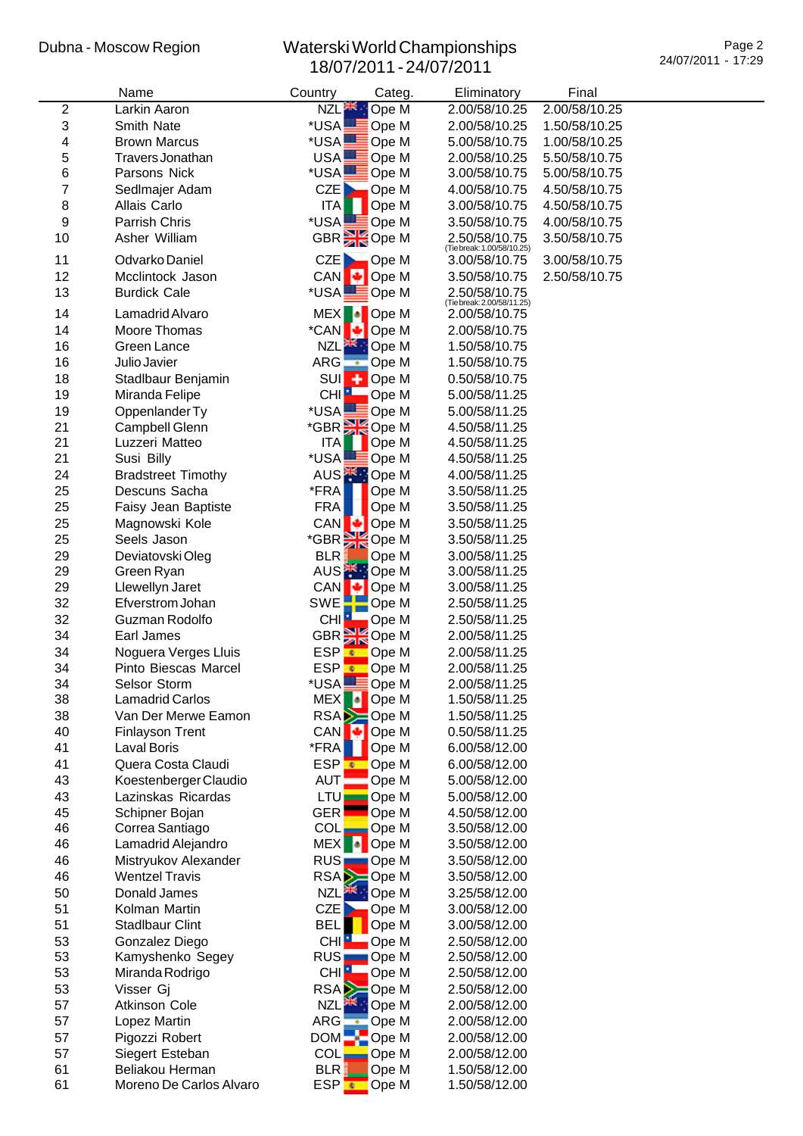|    | Name                      | Country              | Categ.                     | Eliminatory                             | Final         |  |
|----|---------------------------|----------------------|----------------------------|-----------------------------------------|---------------|--|
| 2  | Larkin Aaron              | NZL <sup>AR</sup>    | Ope M                      | 2.00/58/10.25                           | 2.00/58/10.25 |  |
| 3  | Smith Nate                | *USA                 | Ope M                      | 2.00/58/10.25                           | 1.50/58/10.25 |  |
| 4  | <b>Brown Marcus</b>       | *USA                 | Ope M                      | 5.00/58/10.75                           | 1.00/58/10.25 |  |
| 5  | Travers Jonathan          | USA                  | Ope M                      | 2.00/58/10.25                           | 5.50/58/10.75 |  |
| 6  | Parsons Nick              | *USA                 | Ope M                      | 3.00/58/10.75                           | 5.00/58/10.75 |  |
| 7  | Sedlmajer Adam            | CZE                  | Ope M                      | 4.00/58/10.75                           | 4.50/58/10.75 |  |
| 8  | Allais Carlo              | ITA                  | Ope M                      | 3.00/58/10.75                           | 4.50/58/10.75 |  |
| 9  | Parrish Chris             | *USA                 | $\sqrt{\phantom{a}}$ Ope M | 3.50/58/10.75                           | 4.00/58/10.75 |  |
| 10 | Asher William             |                      | GBR Ope M                  |                                         | 3.50/58/10.75 |  |
|    |                           |                      |                            | 2.50/58/10.75 (Tiebreak: 1.00/58/10.25) |               |  |
| 11 | Odvarko Daniel            | CZE                  | $\Box$ Ope M               | 3.00/58/10.75                           | 3.00/58/10.75 |  |
| 12 | Mcclintock Jason          | <b>CAN</b>           | $\bigcup$ Ope M            | 3.50/58/10.75                           | 2.50/58/10.75 |  |
| 13 | <b>Burdick Cale</b>       | *USA <del>L</del>    | $\sqrt{\frac{1}{2}}$ Ope M | 2.50/58/10.75 (Tiebreak: 2.00/58/11.25) |               |  |
| 14 | Lamadrid Alvaro           |                      | MEX <sup>1</sup> Ope M     | 2.00/58/10.75                           |               |  |
| 14 | Moore Thomas              |                      | *CAN + Ope M               | 2.00/58/10.75                           |               |  |
| 16 | Green Lance               |                      | NZL <sup>SK</sup> Ope M    | 1.50/58/10.75                           |               |  |
| 16 | Julio Javier              | ARG                  | Ope M                      |                                         |               |  |
|    |                           | $\rightarrow$        |                            | 1.50/58/10.75                           |               |  |
| 18 | Stadlbaur Benjamin        |                      | SUI + Ope M                | 0.50/58/10.75                           |               |  |
| 19 | Miranda Felipe            | CHI <sup>H</sup>     | $\Box$ Ope M               | 5.00/58/11.25                           |               |  |
| 19 | Oppenlander Ty            | *USALE               | <b>E</b> Ope M             | 5.00/58/11.25                           |               |  |
| 21 | Campbell Glenn            |                      | *GBR SO Ope M              | 4.50/58/11.25                           |               |  |
| 21 | Luzzeri Matteo            | ITA                  | Ope M                      | 4.50/58/11.25                           |               |  |
| 21 | Susi Billy                | *USAL                | Ope M                      | 4.50/58/11.25                           |               |  |
| 24 | <b>Bradstreet Timothy</b> |                      | AUS <b>The M</b>           | 4.00/58/11.25                           |               |  |
| 25 | Descuns Sacha             | *FRA                 | Ope M                      | 3.50/58/11.25                           |               |  |
| 25 | Faisy Jean Baptiste       | <b>FRA</b>           | Ope M                      | 3.50/58/11.25                           |               |  |
| 25 | Magnowski Kole            | CAN                  | $\bigcup$ Ope M            | 3.50/58/11.25                           |               |  |
| 25 | Seels Jason               |                      | *GBR SO Ope M              | 3.50/58/11.25                           |               |  |
| 29 | Deviatovski Oleg          | <b>BLR</b>           | Ope M                      | 3.00/58/11.25                           |               |  |
| 29 | Green Ryan                |                      | AUS <b>AUS</b> Ope M       | 3.00/58/11.25                           |               |  |
| 29 | Llewellyn Jaret           | CAN →                | Ope M                      | 3.00/58/11.25                           |               |  |
| 32 | Efverstrom Johan          | SWE                  | Ope M                      | 2.50/58/11.25                           |               |  |
| 32 | Guzman Rodolfo            | CHI <sup>1</sup>     | Ope M                      | 2.50/58/11.25                           |               |  |
| 34 | Earl James                |                      | GBR <b>De M</b>            | 2.00/58/11.25                           |               |  |
| 34 | Noguera Verges Lluis      |                      | ESP CDe M                  | 2.00/58/11.25                           |               |  |
| 34 | Pinto Biescas Marcel      |                      | ESP CDe M                  | 2.00/58/11.25                           |               |  |
| 34 | Selsor Storm              |                      | *USA <b>N</b> Ope M        | 2.00/58/11.25                           |               |  |
| 38 | <b>Lamadrid Carlos</b>    | <b>MEX</b> $\bullet$ | Ope M                      | 1.50/58/11.25                           |               |  |
| 38 | Van Der Merwe Eamon       |                      | RSA <b>D</b> Ope M         | 1.50/58/11.25                           |               |  |
| 40 | <b>Finlayson Trent</b>    | CAN +                | Ope M                      | 0.50/58/11.25                           |               |  |
| 41 |                           | *FRA                 |                            |                                         |               |  |
|    | Laval Boris               |                      | Ope M                      | 6.00/58/12.00                           |               |  |
| 41 | Quera Costa Claudi        | ESP <sup></sup>      | Ope M                      | 6.00/58/12.00                           |               |  |
| 43 | Koestenberger Claudio     | AUT                  | Ope M                      | 5.00/58/12.00                           |               |  |
| 43 | Lazinskas Ricardas        | <b>LTU</b>           | Ope M                      | 5.00/58/12.00                           |               |  |
| 45 | Schipner Bojan            | <b>GER</b>           | Ope M                      | 4.50/58/12.00                           |               |  |
| 46 | Correa Santiago           | <b>COL</b>           | Ope M                      | 3.50/58/12.00                           |               |  |
| 46 | Lamadrid Alejandro        | <b>MEX</b> •         | Ope M                      | 3.50/58/12.00                           |               |  |
| 46 | Mistryukov Alexander      | RUS <sub>I</sub>     | $\Box$ Ope M               | 3.50/58/12.00                           |               |  |
| 46 | <b>Wentzel Travis</b>     |                      | RSA <b>D</b> Ope M         | 3.50/58/12.00                           |               |  |
| 50 | Donald James              |                      | NZL <sup>ake</sup> : Ope M | 3.25/58/12.00                           |               |  |
| 51 | Kolman Martin             | CZE                  | Ope M                      | 3.00/58/12.00                           |               |  |
| 51 | <b>Stadlbaur Clint</b>    | <b>BEL</b>           | Ope M                      | 3.00/58/12.00                           |               |  |
| 53 | Gonzalez Diego            | CHI <sup>H</sup>     | $\Box$ Ope M               | 2.50/58/12.00                           |               |  |
| 53 | Kamyshenko Segey          |                      | RUS Ope M                  | 2.50/58/12.00                           |               |  |
| 53 | Miranda Rodrigo           |                      | CHI <b>P</b> Ope M         | 2.50/58/12.00                           |               |  |
| 53 | Visser Gj                 | <b>RSA</b>           | $\blacksquare$ Ope M       | 2.50/58/12.00                           |               |  |
| 57 | <b>Atkinson Cole</b>      | NZL <sup>ak</sup>    | Ope M                      | 2.00/58/12.00                           |               |  |
| 57 | Lopez Martin              |                      | ARG C Ope M                | 2.00/58/12.00                           |               |  |
| 57 | Pigozzi Robert            |                      | DOM Ope M                  | 2.00/58/12.00                           |               |  |
| 57 | Siegert Esteban           | <b>COL</b>           | Ope M                      | 2.00/58/12.00                           |               |  |
| 61 | Beliakou Herman           | <b>BLR</b>           | Ope M                      | 1.50/58/12.00                           |               |  |
| 61 | Moreno De Carlos Alvaro   |                      | ESP <sup>t</sup> Ope M     | 1.50/58/12.00                           |               |  |
|    |                           |                      |                            |                                         |               |  |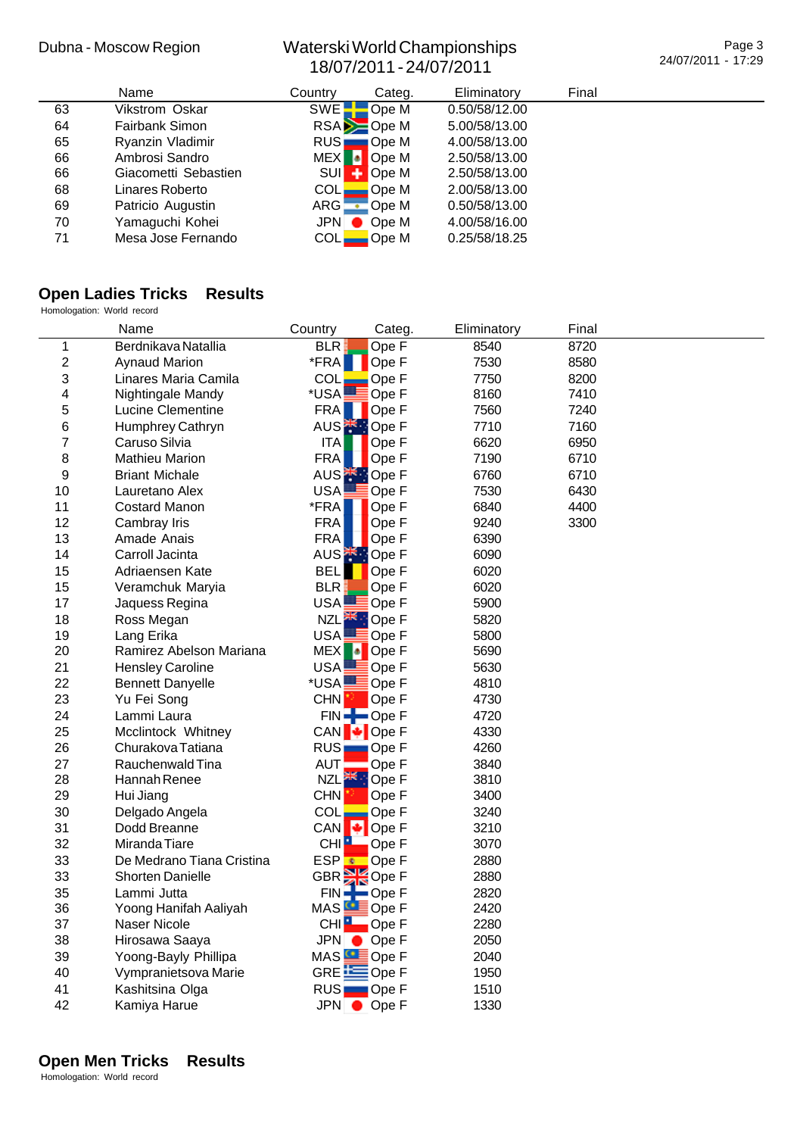Page 3 24/07/2011 - 17:29

|    | <b>Name</b>          | Country          | Categ.             | Eliminatory   | Final |  |
|----|----------------------|------------------|--------------------|---------------|-------|--|
| 63 | Vikstrom Oskar       | SWE <sup>-</sup> | Ope M              | 0.50/58/12.00 |       |  |
| 64 | Fairbank Simon       |                  | $RSA$ $\geq$ Ope M | 5.00/58/13.00 |       |  |
| 65 | Ryanzin Vladimir     | RUS:             | ∎Ope M             | 4.00/58/13.00 |       |  |
| 66 | Ambrosi Sandro       |                  | MEX Ope M          | 2.50/58/13.00 |       |  |
| 66 | Giacometti Sebastien |                  | SUI : Ope M        | 2.50/58/13.00 |       |  |
| 68 | Linares Roberto      | COL <sub>•</sub> | Ope M              | 2.00/58/13.00 |       |  |
| 69 | Patricio Augustin    | ARG              | Ope M              | 0.50/58/13.00 |       |  |
| 70 | Yamaguchi Kohei      | JPN O            | Ope M              | 4.00/58/16.00 |       |  |
| 71 | Mesa Jose Fernando   | COL <sub></sub>  | Ope M              | 0.25/58/18.25 |       |  |

## **Open Ladies Tricks Results**

Homologation: World record

|                | Name                      | Country           | Categ.                            | Eliminatory | Final |  |
|----------------|---------------------------|-------------------|-----------------------------------|-------------|-------|--|
| 1              | Berdnikava Natallia       | <b>BLR</b>        | Ope F                             | 8540        | 8720  |  |
| $\overline{c}$ | <b>Aynaud Marion</b>      | *FRA              | Ope F                             | 7530        | 8580  |  |
| 3              | Linares Maria Camila      | <b>COL</b>        | Ope F                             | 7750        | 8200  |  |
| 4              | Nightingale Mandy         | *USAL             | Ope F                             | 8160        | 7410  |  |
| 5              | Lucine Clementine         | <b>FRA</b>        | Ope F                             | 7560        | 7240  |  |
| 6              | Humphrey Cathryn          | AUS <sup>E</sup>  | <b>D</b> Ope F                    | 7710        | 7160  |  |
| $\overline{7}$ | Caruso Silvia             | <b>ITA</b>        | Ope F                             | 6620        | 6950  |  |
| 8              | <b>Mathieu Marion</b>     | FRA               | Ope F                             | 7190        | 6710  |  |
| 9              | <b>Briant Michale</b>     |                   | AUS <sup><sup>*</sup> Ope F</sup> | 6760        | 6710  |  |
| 10             | Lauretano Alex            | <b>USA</b>        | Ope F                             | 7530        | 6430  |  |
| 11             | <b>Costard Manon</b>      | *FRA              | Ope F                             | 6840        | 4400  |  |
| 12             | Cambray Iris              | <b>FRA</b>        | Ope F                             | 9240        | 3300  |  |
| 13             | Amade Anais               | <b>FRA</b>        | Ope F                             | 6390        |       |  |
| 14             | Carroll Jacinta           |                   | AUS <b>AUS</b> Ope F              | 6090        |       |  |
| 15             | Adriaensen Kate           | <b>BEL</b>        | Ope F                             | 6020        |       |  |
| 15             | Veramchuk Maryia          | BLR:              | Ope F                             | 6020        |       |  |
| 17             | Jaquess Regina            | USA <sub>-</sub>  | <b>E</b> Ope F                    | 5900        |       |  |
| 18             | Ross Megan                |                   | NZL <sup>XX</sup> : Ope F         | 5820        |       |  |
| 19             | Lang Erika                | USA <sup>L</sup>  | $\equiv$ Ope F                    | 5800        |       |  |
| 20             | Ramirez Abelson Mariana   | MEX <sup>1</sup>  | <b>D</b> Ope F                    | 5690        |       |  |
| 21             | <b>Hensley Caroline</b>   | USA.              | Ope F                             | 5630        |       |  |
| 22             | <b>Bennett Danyelle</b>   |                   | *USA <b>LE</b> Ope F              | 4810        |       |  |
| 23             | Yu Fei Song               | CHN <sup>13</sup> | Ope F                             | 4730        |       |  |
| 24             | Lammi Laura               |                   | $FIN =$ Ope F                     | 4720        |       |  |
| 25             | Mcclintock Whitney        |                   | CAN + Ope F                       | 4330        |       |  |
| 26             | Churakova Tatiana         | RUS.              | $\Box$ Ope F                      | 4260        |       |  |
| 27             | Rauchenwald Tina          | <b>AUT</b>        | Ope F                             | 3840        |       |  |
| 28             | Hannah Renee              |                   | NZL <sup>HK</sup> : Ope F         | 3810        |       |  |
| 29             | Hui Jiang                 | <b>CHN</b>        | Ope F                             | 3400        |       |  |
| 30             | Delgado Angela            | <b>COL</b>        | Ope F                             | 3240        |       |  |
| 31             | Dodd Breanne              | CAN               | $\bigcup$ Ope F                   | 3210        |       |  |
| 32             | Miranda Tiare             | CHI <sup>1</sup>  | Ope F                             | 3070        |       |  |
| 33             | De Medrano Tiana Cristina |                   | ESP <sup>t</sup> Ope F            | 2880        |       |  |
| 33             | <b>Shorten Danielle</b>   |                   | GBR <sup>34</sup> Ope F           | 2880        |       |  |
| 35             | Lammi Jutta               | FIN               | $\blacksquare$ Ope F              | 2820        |       |  |
| 36             | Yoong Hanifah Aaliyah     |                   | MAS Ope F                         | 2420        |       |  |
| 37             | Naser Nicole              |                   | CHI <b>P</b> Ope F                | 2280        |       |  |
| 38             | Hirosawa Saaya            |                   | JPN Ope F                         | 2050        |       |  |
| 39             | Yoong-Bayly Phillipa      |                   | MAS ODP F                         | 2040        |       |  |
| 40             | Vympranietsova Marie      |                   | GRE EOpe F                        | 1950        |       |  |
| 41             | Kashitsina Olga           | RUS <sub></sub>   | $\Box$ Ope F                      | 1510        |       |  |
| 42             | Kamiya Harue              |                   | JPN Ope F                         | 1330        |       |  |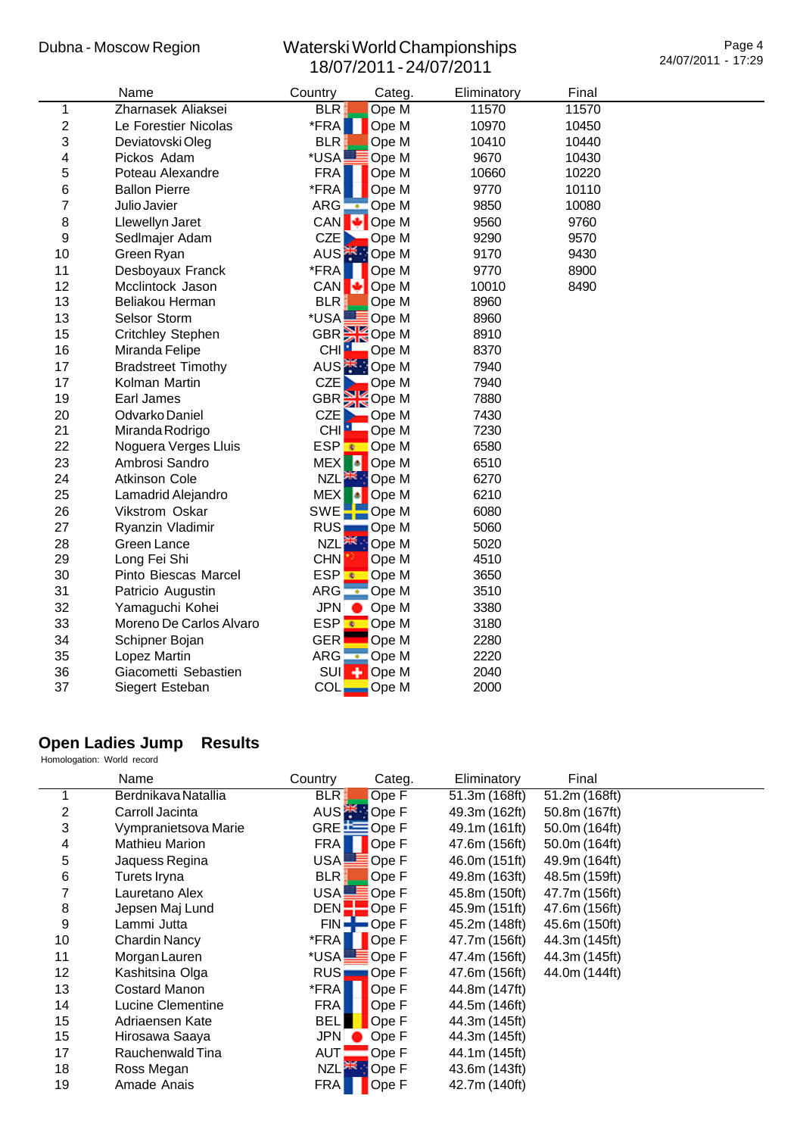|                | Name                      | Country                | Categ.                            | Eliminatory | Final |  |
|----------------|---------------------------|------------------------|-----------------------------------|-------------|-------|--|
| $\mathbf 1$    | Zharnasek Aliaksei        | BLR.                   | Ope M                             | 11570       | 11570 |  |
| $\overline{c}$ | Le Forestier Nicolas      | *FRA                   | Ope M                             | 10970       | 10450 |  |
| 3              | Deviatovski Oleg          | <b>BLR</b>             | Ope M                             | 10410       | 10440 |  |
| 4              | Pickos Adam               | *USA!                  | Ope M                             | 9670        | 10430 |  |
| 5              | Poteau Alexandre          | <b>FRA</b>             | Ope M                             | 10660       | 10220 |  |
| 6              | <b>Ballon Pierre</b>      | *FRA                   | Ope M                             | 9770        | 10110 |  |
| $\overline{7}$ | Julio Javier              | $ARG -$                | Ope M                             | 9850        | 10080 |  |
| 8              | Llewellyn Jaret           | CAN                    | Ope M                             | 9560        | 9760  |  |
| 9              | Sedlmajer Adam            | CZE                    | Ope M                             | 9290        | 9570  |  |
| 10             | Green Ryan                |                        | AUS <sup><sup>*</sup> Ope M</sup> | 9170        | 9430  |  |
| 11             | Desboyaux Franck          | *FRA                   | Ope M                             | 9770        | 8900  |  |
| 12             | Mcclintock Jason          | CAN <sup>[</sup>       | Ope M                             | 10010       | 8490  |  |
| 13             | Beliakou Herman           | <b>BLR</b>             | Ope M                             | 8960        |       |  |
| 13             | Selsor Storm              | *USA!                  | $\equiv$ Ope M                    | 8960        |       |  |
| 15             | Critchley Stephen         |                        | GBR Ope M                         | 8910        |       |  |
| 16             | Miranda Felipe            | CHI <sup>L</sup>       | Ope M                             | 8370        |       |  |
| 17             | <b>Bradstreet Timothy</b> |                        | AUS <b>K</b> <sup>1</sup> Ope M   | 7940        |       |  |
| 17             | Kolman Martin             | CZE                    | Ope M                             | 7940        |       |  |
| 19             | Earl James                |                        | GBR <sup>SK</sup> Ope M           | 7880        |       |  |
| 20             | Odvarko Daniel            | CZE                    | Ope M                             | 7430        |       |  |
| 21             | Miranda Rodrigo           | CHI <sup>1</sup>       | Ope M                             | 7230        |       |  |
| 22             | Noguera Verges Lluis      | <b>ESP</b> <sup></sup> | Ope M                             | 6580        |       |  |
| 23             | Ambrosi Sandro            | <b>MEX</b><br>Ы        | Ope M                             | 6510        |       |  |
| 24             | <b>Atkinson Cole</b>      |                        | NZL <b>AKE:</b> Ope M             | 6270        |       |  |
| 25             | Lamadrid Alejandro        | MEX <sup>1</sup><br>ы  | Ope M                             | 6210        |       |  |
| 26             | Vikstrom Oskar            |                        | SWE <sup>-</sup> Ope M            | 6080        |       |  |
| 27             | Ryanzin Vladimir          | RUS <sub>I</sub>       | Ope M                             | 5060        |       |  |
| 28             | Green Lance               |                        | NZL <sup>HK</sup> : Ope M         | 5020        |       |  |
| 29             | Long Fei Shi              | <b>CHN</b>             | Ope M                             | 4510        |       |  |
| 30             | Pinto Biescas Marcel      | ESP <mark>⊕</mark>     | Ope M                             | 3650        |       |  |
| 31             | Patricio Augustin         | ARG.                   | Ope M                             | 3510        |       |  |
| 32             | Yamaguchi Kohei           | <b>JPN</b>             | Ope M                             | 3380        |       |  |
| 33             | Moreno De Carlos Alvaro   |                        | ESP <sup>€</sup> Ope M            | 3180        |       |  |
| 34             | Schipner Bojan            | <b>GER</b>             | Ope M                             | 2280        |       |  |
| 35             | Lopez Martin              | $ARG -$                | Ope M                             | 2220        |       |  |
| 36             | Giacometti Sebastien      | <b>SUI</b>             | Ope M                             | 2040        |       |  |
| 37             | Siegert Esteban           | <b>COL</b>             | Ope M                             | 2000        |       |  |

# **Open Ladies Jump Results**

Homologation: World record

|    | Name                  | Country           | Categ.                 | Eliminatory   | Final         |  |
|----|-----------------------|-------------------|------------------------|---------------|---------------|--|
|    | Berdnikava Natallia   | <b>BLR</b>        | Ope F                  | 51.3m (168ft) | 51.2m(168ft)  |  |
| 2  | Carroll Jacinta       |                   | AUS <sup>-</sup> Ope F | 49.3m (162ft) | 50.8m (167ft) |  |
| 3  | Vympranietsova Marie  |                   | GRE <b>ED</b> Ope F    | 49.1m (161ft) | 50.0m (164ft) |  |
| 4  | <b>Mathieu Marion</b> | <b>FRA</b>        | Ope F                  | 47.6m (156ft) | 50.0m (164ft) |  |
| 5  | Jaquess Regina        | USA.              | Ope F                  | 46.0m (151ft) | 49.9m (164ft) |  |
| 6  | Turets Iryna          | <b>BLR</b>        | Ope F                  | 49.8m (163ft) | 48.5m (159ft) |  |
| 7  | Lauretano Alex        | USA!              | Ope F                  | 45.8m (150ft) | 47.7m (156ft) |  |
| 8  | Jepsen Maj Lund       | DEN <sup>1</sup>  | Ope F                  | 45.9m (151ft) | 47.6m (156ft) |  |
| 9  | Lammi Jutta           | $FIN =$           | ➡Ope F                 | 45.2m (148ft) | 45.6m (150ft) |  |
| 10 | Chardin Nancy         | *FRA              | Ope F                  | 47.7m (156ft) | 44.3m (145ft) |  |
| 11 | Morgan Lauren         | *USA              | Ope F                  | 47.4m (156ft) | 44.3m (145ft) |  |
| 12 | Kashitsina Olga       | RUS <sub>I</sub>  | ∎Ope F                 | 47.6m (156ft) | 44.0m (144ft) |  |
| 13 | Costard Manon         | *FRA              | Ope F                  | 44.8m (147ft) |               |  |
| 14 | Lucine Clementine     | <b>FRA</b>        | Ope F                  | 44.5m (146ft) |               |  |
| 15 | Adriaensen Kate       | BEL               | Ope F                  | 44.3m (145ft) |               |  |
| 15 | Hirosawa Saaya        | JPN               | Ope F                  | 44.3m (145ft) |               |  |
| 17 | Rauchenwald Tina      | AUT               | Ope F                  | 44.1m (145ft) |               |  |
| 18 | Ross Megan            | NZL <sup>XK</sup> | Ope F                  | 43.6m (143ft) |               |  |
| 19 | Amade Anais           | <b>FRA</b>        | Ope F                  | 42.7m (140ft) |               |  |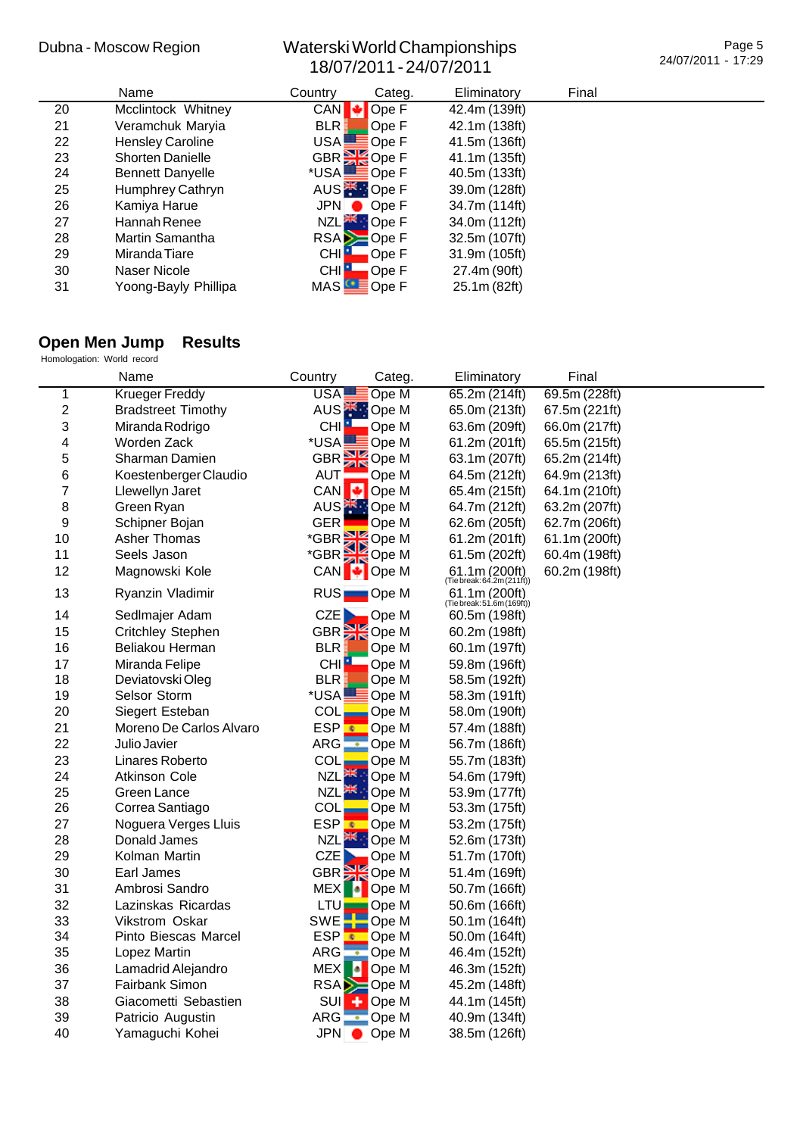|    | Name                    | Country      | Categ.                            | Eliminatory   | Final |  |
|----|-------------------------|--------------|-----------------------------------|---------------|-------|--|
| 20 | Mcclintock Whitney      | CAN          | Ope F                             | 42.4m (139ft) |       |  |
| 21 | Veramchuk Maryia        | <b>BLR</b>   | Ope F                             | 42.1m (138ft) |       |  |
| 22 | <b>Hensley Caroline</b> |              | USA <b>LE</b> Ope F               | 41.5m (136ft) |       |  |
| 23 | <b>Shorten Danielle</b> |              | GBR <sup>3</sup> Ope F            | 41.1m (135ft) |       |  |
| 24 | <b>Bennett Danyelle</b> |              | *USA <b>LODE</b> Ope F            | 40.5m (133ft) |       |  |
| 25 | Humphrey Cathryn        |              | AUS <sup><sup>*</sup> Ope F</sup> | 39.0m (128ft) |       |  |
| 26 | Kamiya Harue            |              | $JPN \rightarrow OpeF$            | 34.7m (114ft) |       |  |
| 27 | Hannah Renee            |              | NZL <sup>SK</sup> : Ope F         | 34.0m (112ft) |       |  |
| 28 | Martin Samantha         |              | $RSA = OpeF$                      | 32.5m (107ft) |       |  |
| 29 | Miranda Tiare           | <b>CHIP</b>  | Ope F                             | 31.9m (105ft) |       |  |
| 30 | Naser Nicole            | <b>CHILL</b> | Ope F                             | 27.4m (90ft)  |       |  |
| 31 | Yoong-Bayly Phillipa    | MAS          | Ope F                             | 25.1m (82ft)  |       |  |

# **Open Men Jump Results**

| Homologation: World record |  |  |
|----------------------------|--|--|
|                            |  |  |

|                         | Name                      | Country                     | Categ.                            | Eliminatory                                 | Final         |  |
|-------------------------|---------------------------|-----------------------------|-----------------------------------|---------------------------------------------|---------------|--|
| 1                       | <b>Krueger Freddy</b>     | USA!                        | Ope M                             | 65.2m (214ft)                               | 69.5m (228ft) |  |
| $\overline{\mathbf{c}}$ | <b>Bradstreet Timothy</b> |                             | AUS <sup><sup>*</sup> Ope M</sup> | 65.0m (213ft)                               | 67.5m (221ft) |  |
| 3                       | Miranda Rodrigo           | CHI <b>Lega</b>             | Ope M                             | 63.6m (209ft)                               | 66.0m (217ft) |  |
| 4                       | Worden Zack               |                             | *USA <b>LODE</b> Ope M            | 61.2m (201ft)                               | 65.5m (215ft) |  |
| 5                       | Sharman Damien            |                             | GBR <sup>S</sup> Ope M            | 63.1m (207ft)                               | 65.2m (214ft) |  |
| 6                       | Koestenberger Claudio     | AUT!                        | Ope M                             | 64.5m (212ft)                               | 64.9m (213ft) |  |
| 7                       | Llewellyn Jaret           | <b>CAN</b><br>ю             | Ope M                             | 65.4m (215ft)                               | 64.1m (210ft) |  |
| 8                       | Green Ryan                |                             | AUS <sup><sup>*</sup> Ope M</sup> | 64.7m (212ft)                               | 63.2m (207ft) |  |
| 9                       | Schipner Bojan            | <b>GER</b>                  | Ope M                             | 62.6m (205ft)                               | 62.7m (206ft) |  |
| 10                      | Asher Thomas              | *GBR <sup>S</sup> Ope M     |                                   | 61.2m (201ft)                               | 61.1m (200ft) |  |
| 11                      | Seels Jason               |                             | *GBR <sup>S</sup> Ope M           | 61.5m (202ft)                               | 60.4m (198ft) |  |
| 12                      | Magnowski Kole            |                             | CAN + Ope M                       | $61.1m (200ft)$<br>(Tiebreak: 64.2m(211ft)) | 60.2m (198ft) |  |
| 13                      | Ryanzin Vladimir          |                             | RUS <b>Ope M</b>                  | 61.1m (200ft)<br>(Tie break: 51.6m (169ft)) |               |  |
| 14                      | Sedlmajer Adam            | CZE                         | Ope M                             | 60.5m (198ft)                               |               |  |
| 15                      | Critchley Stephen         | GBR <mark>이</mark>          | Ope M                             | 60.2m (198ft)                               |               |  |
| 16                      | Beliakou Herman           | <b>BLR</b>                  | Ope M                             | 60.1m (197ft)                               |               |  |
| 17                      | Miranda Felipe            | CHI <sup>1</sup>            | Ope M                             | 59.8m (196ft)                               |               |  |
| 18                      | Deviatovski Oleg          | <b>BLR</b>                  | Ope M                             | 58.5m (192ft)                               |               |  |
| 19                      | Selsor Storm              | *USA                        | $\equiv$ Ope M                    | 58.3m (191ft)                               |               |  |
| 20                      | Siegert Esteban           | COL                         | Ope M                             | 58.0m (190ft)                               |               |  |
| 21                      | Moreno De Carlos Alvaro   | ESP <mark>⊕</mark>          | Ope M                             | 57.4m (188ft)                               |               |  |
| 22                      | Julio Javier              | ARG                         | $\overline{\phantom{a}}$ Ope M    | 56.7m (186ft)                               |               |  |
| 23                      | Linares Roberto           | COL                         | Ope M                             | 55.7m (183ft)                               |               |  |
| 24                      | <b>Atkinson Cole</b>      | NZL <sup>XK</sup>           | Ope M                             | 54.6m (179ft)                               |               |  |
| 25                      | Green Lance               | NZL <sup>XX</sup>           | Ope M                             | 53.9m (177ft)                               |               |  |
| 26                      | Correa Santiago           | COL                         | Ope M                             | 53.3m (175ft)                               |               |  |
| 27                      | Noguera Verges Lluis      | <b>ESP</b><br>$\mathcal{R}$ | Ope M                             | 53.2m (175ft)                               |               |  |
| 28                      | Donald James              | 张<br><b>NZL</b>             | Ope M                             | 52.6m (173ft)                               |               |  |
| 29                      | Kolman Martin             | <b>CZE</b>                  | Ope M                             | 51.7m (170ft)                               |               |  |
| 30                      | Earl James                |                             | GBR Ope M                         | 51.4m (169ft)                               |               |  |
| 31                      | Ambrosi Sandro            | <b>MEX</b>                  | Ope M                             | 50.7m (166ft)                               |               |  |
| 32                      | Lazinskas Ricardas        | LTU <sub>E</sub>            | Ope M                             | 50.6m (166ft)                               |               |  |
| 33                      | Vikstrom Oskar            | SWE <sup>T</sup>            | Ope M                             | 50.1m (164ft)                               |               |  |
| 34                      | Pinto Biescas Marcel      | <b>ESP</b>                  | Ope M                             | 50.0m (164ft)                               |               |  |
| 35                      | Lopez Martin              | $ARG -$                     | Ope M                             | 46.4m (152ft)                               |               |  |
| 36                      | Lamadrid Alejandro        | Ŀ<br><b>MEX</b>             | Ope M                             | 46.3m (152ft)                               |               |  |
| 37                      | Fairbank Simon            |                             | RSA <b>D</b> Ope M                | 45.2m (148ft)                               |               |  |
| 38                      | Giacometti Sebastien      | <b>SUI</b>                  | <b>D</b> Ope M                    | 44.1m (145ft)                               |               |  |
| 39                      | Patricio Augustin         |                             | ARG C Ope M                       | 40.9m (134ft)                               |               |  |
| 40                      | Yamaguchi Kohei           |                             | JPN ● Ope M                       | 38.5m (126ft)                               |               |  |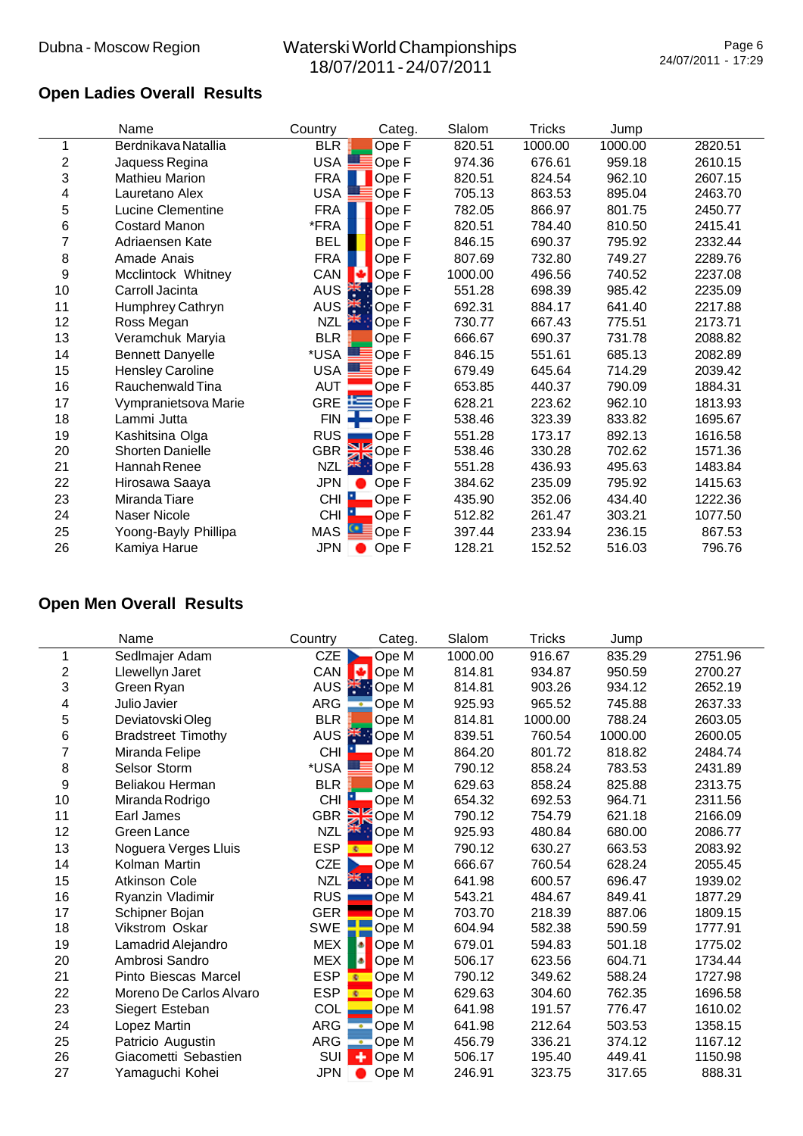# **Open Ladies Overall Results**

|                | Name                    | Country          | Categ.                              | Slalom  | <b>Tricks</b> | Jump    |         |
|----------------|-------------------------|------------------|-------------------------------------|---------|---------------|---------|---------|
|                | Berdnikava Natallia     | <b>BLR</b>       | Ope F                               | 820.51  | 1000.00       | 1000.00 | 2820.51 |
| $\overline{2}$ | Jaquess Regina          | <b>USA</b>       | Ope F                               | 974.36  | 676.61        | 959.18  | 2610.15 |
| 3              | <b>Mathieu Marion</b>   | <b>FRA</b>       | Ope F                               | 820.51  | 824.54        | 962.10  | 2607.15 |
| 4              | Lauretano Alex          | USA              | Ope F                               | 705.13  | 863.53        | 895.04  | 2463.70 |
| 5              | Lucine Clementine       | <b>FRA</b>       | Ope F                               | 782.05  | 866.97        | 801.75  | 2450.77 |
| 6              | <b>Costard Manon</b>    | *FRA             | Ope F                               | 820.51  | 784.40        | 810.50  | 2415.41 |
| 7              | Adriaensen Kate         | <b>BEL</b>       | Ope F                               | 846.15  | 690.37        | 795.92  | 2332.44 |
| 8              | Amade Anais             | <b>FRA</b>       | Ope F                               | 807.69  | 732.80        | 749.27  | 2289.76 |
| 9              | Mcclintock Whitney      | CAN              | Ope F<br>о                          | 1000.00 | 496.56        | 740.52  | 2237.08 |
| 10             | Carroll Jacinta         | <b>AUS</b>       | <sup>**</sup> Ope F                 | 551.28  | 698.39        | 985.42  | 2235.09 |
| 11             | Humphrey Cathryn        | <b>AUS</b>       | 类<br>Ope F                          | 692.31  | 884.17        | 641.40  | 2217.88 |
| 12             | Ross Megan              | <b>NZL</b>       | Ope F                               | 730.77  | 667.43        | 775.51  | 2173.71 |
| 13             | Veramchuk Maryia        | <b>BLR</b>       | Ope F                               | 666.67  | 690.37        | 731.78  | 2088.82 |
| 14             | <b>Bennett Danyelle</b> | *USA             | Ope F                               | 846.15  | 551.61        | 685.13  | 2082.89 |
| 15             | <b>Hensley Caroline</b> | <b>USA</b>       | Ope F                               | 679.49  | 645.64        | 714.29  | 2039.42 |
| 16             | Rauchenwald Tina        | <b>AUT</b>       | Ope F                               | 653.85  | 440.37        | 790.09  | 1884.31 |
| 17             | Vympranietsova Marie    | <b>GRE</b>       | $E$ Ope F                           | 628.21  | 223.62        | 962.10  | 1813.93 |
| 18             | Lammi Jutta             | <b>FIN</b>       | $\blacksquare$ Ope F                | 538.46  | 323.39        | 833.82  | 1695.67 |
| 19             | Kashitsina Olga         | <b>RUS</b>       | Ope F                               | 551.28  | 173.17        | 892.13  | 1616.58 |
| 20             | Shorten Danielle        | <b>GBR</b>       | Ope F                               | 538.46  | 330.28        | 702.62  | 1571.36 |
| 21             | Hannah Renee            | NZL              | <sup>a</sup> : Ope F                | 551.28  | 436.93        | 495.63  | 1483.84 |
| 22             | Hirosawa Saaya          | JPN              | Ope F                               | 384.62  | 235.09        | 795.92  | 1415.63 |
| 23             | Miranda Tiare           | <b>CHI</b><br>21 | Ope F                               | 435.90  | 352.06        | 434.40  | 1222.36 |
| 24             | Naser Nicole            | <b>CHI</b>       | Ope F                               | 512.82  | 261.47        | 303.21  | 1077.50 |
| 25             | Yoong-Bayly Phillipa    | MAS              | $\bullet$ E<br>$\blacksquare$ Ope F | 397.44  | 233.94        | 236.15  | 867.53  |
| 26             | Kamiya Harue            | <b>JPN</b>       | Ope F                               | 128.21  | 152.52        | 516.03  | 796.76  |

# **Open Men Overall Results**

|    | Name                      | Country    | Categ.                   | Slalom  | <b>Tricks</b> | Jump    |         |
|----|---------------------------|------------|--------------------------|---------|---------------|---------|---------|
| 1  | Sedlmajer Adam            | CZE        | Ope M                    | 1000.00 | 916.67        | 835.29  | 2751.96 |
| 2  | Llewellyn Jaret           | CAN        | м<br>Ope M               | 814.81  | 934.87        | 950.59  | 2700.27 |
| 3  | Green Ryan                | <b>AUS</b> | <b>Exercise M</b>        | 814.81  | 903.26        | 934.12  | 2652.19 |
| 4  | Julio Javier              | ARG        | Ope M<br>÷               | 925.93  | 965.52        | 745.88  | 2637.33 |
| 5  | Deviatovski Oleg          | <b>BLR</b> | Ope M                    | 814.81  | 1000.00       | 788.24  | 2603.05 |
| 6  | <b>Bradstreet Timothy</b> |            | AUS <b>AUS</b> Ope M     | 839.51  | 760.54        | 1000.00 | 2600.05 |
| 7  | Miranda Felipe            | <b>CHI</b> | Ope M                    | 864.20  | 801.72        | 818.82  | 2484.74 |
| 8  | Selsor Storm              | *USA       | Ope M                    | 790.12  | 858.24        | 783.53  | 2431.89 |
| 9  | Beliakou Herman           | <b>BLR</b> | Ope M                    | 629.63  | 858.24        | 825.88  | 2313.75 |
| 10 | Miranda Rodrigo           | <b>CHI</b> | E.<br>Ope M              | 654.32  | 692.53        | 964.71  | 2311.56 |
| 11 | Earl James                | <b>GBR</b> | <b>SK</b> Ope M          | 790.12  | 754.79        | 621.18  | 2166.09 |
| 12 | Green Lance               | <b>NZL</b> | AR -<br>Ope M            | 925.93  | 480.84        | 680.00  | 2086.77 |
| 13 | Noguera Verges Lluis      | <b>ESP</b> | Ope M<br>$\bullet$       | 790.12  | 630.27        | 663.53  | 2083.92 |
| 14 | Kolman Martin             | <b>CZE</b> | Ope M                    | 666.67  | 760.54        | 628.24  | 2055.45 |
| 15 | <b>Atkinson Cole</b>      |            | NZL $\mathbb{R}$ : Ope M | 641.98  | 600.57        | 696.47  | 1939.02 |
| 16 | Ryanzin Vladimir          | <b>RUS</b> | Ope M                    | 543.21  | 484.67        | 849.41  | 1877.29 |
| 17 | Schipner Bojan            | <b>GER</b> | Ope M                    | 703.70  | 218.39        | 887.06  | 1809.15 |
| 18 | Vikstrom Oskar            | <b>SWE</b> | Ope M                    | 604.94  | 582.38        | 590.59  | 1777.91 |
| 19 | Lamadrid Alejandro        | <b>MEX</b> | ы<br>Ope M               | 679.01  | 594.83        | 501.18  | 1775.02 |
| 20 | Ambrosi Sandro            | <b>MEX</b> | Ope M<br>ы               | 506.17  | 623.56        | 604.71  | 1734.44 |
| 21 | Pinto Biescas Marcel      | <b>ESP</b> | Ope M<br>$\bullet$       | 790.12  | 349.62        | 588.24  | 1727.98 |
| 22 | Moreno De Carlos Alvaro   | <b>ESP</b> | Ope M<br>×               | 629.63  | 304.60        | 762.35  | 1696.58 |
| 23 | Siegert Esteban           | COL        | Ope M                    | 641.98  | 191.57        | 776.47  | 1610.02 |
| 24 | Lopez Martin              | ARG        | Ope M<br>÷               | 641.98  | 212.64        | 503.53  | 1358.15 |
| 25 | Patricio Augustin         | ARG        | Ope M<br>$\bullet$       | 456.79  | 336.21        | 374.12  | 1167.12 |
| 26 | Giacometti Sebastien      | SUI        | ٠<br>Ope M               | 506.17  | 195.40        | 449.41  | 1150.98 |
| 27 | Yamaguchi Kohei           | <b>JPN</b> | Ope M                    | 246.91  | 323.75        | 317.65  | 888.31  |